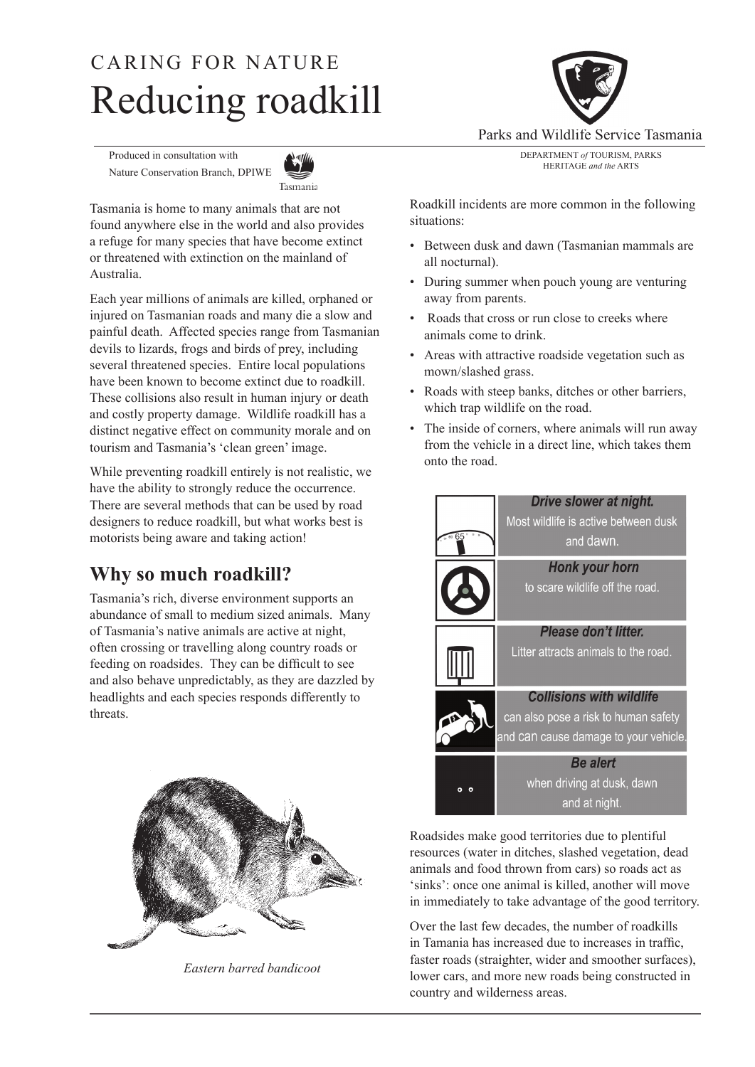# Reducing roadkill CARING FOR NATURE

Produced in consultation with Nature Conservation Branch, DPIWE



Tasmania is home to many animals that are not found anywhere else in the world and also provides a refuge for many species that have become extinct or threatened with extinction on the mainland of Australia.

Each year millions of animals are killed, orphaned or injured on Tasmanian roads and many die a slow and painful death. Affected species range from Tasmanian devils to lizards, frogs and birds of prey, including several threatened species. Entire local populations have been known to become extinct due to roadkill. These collisions also result in human injury or death and costly property damage. Wildlife roadkill has a distinct negative effect on community morale and on tourism and Tasmania's 'clean green' image.

While preventing roadkill entirely is not realistic, we have the ability to strongly reduce the occurrence. There are several methods that can be used by road designers to reduce roadkill, but what works best is motorists being aware and taking action!

## **Why so much roadkill?**

Tasmania's rich, diverse environment supports an abundance of small to medium sized animals. Many of Tasmania's native animals are active at night, often crossing or travelling along country roads or feeding on roadsides. They can be difficult to see and also behave unpredictably, as they are dazzled by headlights and each species responds differently to threats.



*Eastern barred bandicoot*



Parks and Wildlife Service Tasmania

DEPARTMENT *of* TOURISM, PARKS HERITAGE *and the* ARTS

Roadkill incidents are more common in the following situations:

- Between dusk and dawn (Tasmanian mammals are all nocturnal).
- During summer when pouch young are venturing away from parents.
- Roads that cross or run close to creeks where animals come to drink.
- Areas with attractive roadside vegetation such as mown/slashed grass.
- Roads with steep banks, ditches or other barriers, which trap wildlife on the road.
- The inside of corners, where animals will run away from the vehicle in a direct line, which takes them onto the road.



Roadsides make good territories due to plentiful resources (water in ditches, slashed vegetation, dead animals and food thrown from cars) so roads act as 'sinks': once one animal is killed, another will move in immediately to take advantage of the good territory.

Over the last few decades, the number of roadkills in Tamania has increased due to increases in traffic. faster roads (straighter, wider and smoother surfaces), lower cars, and more new roads being constructed in country and wilderness areas.